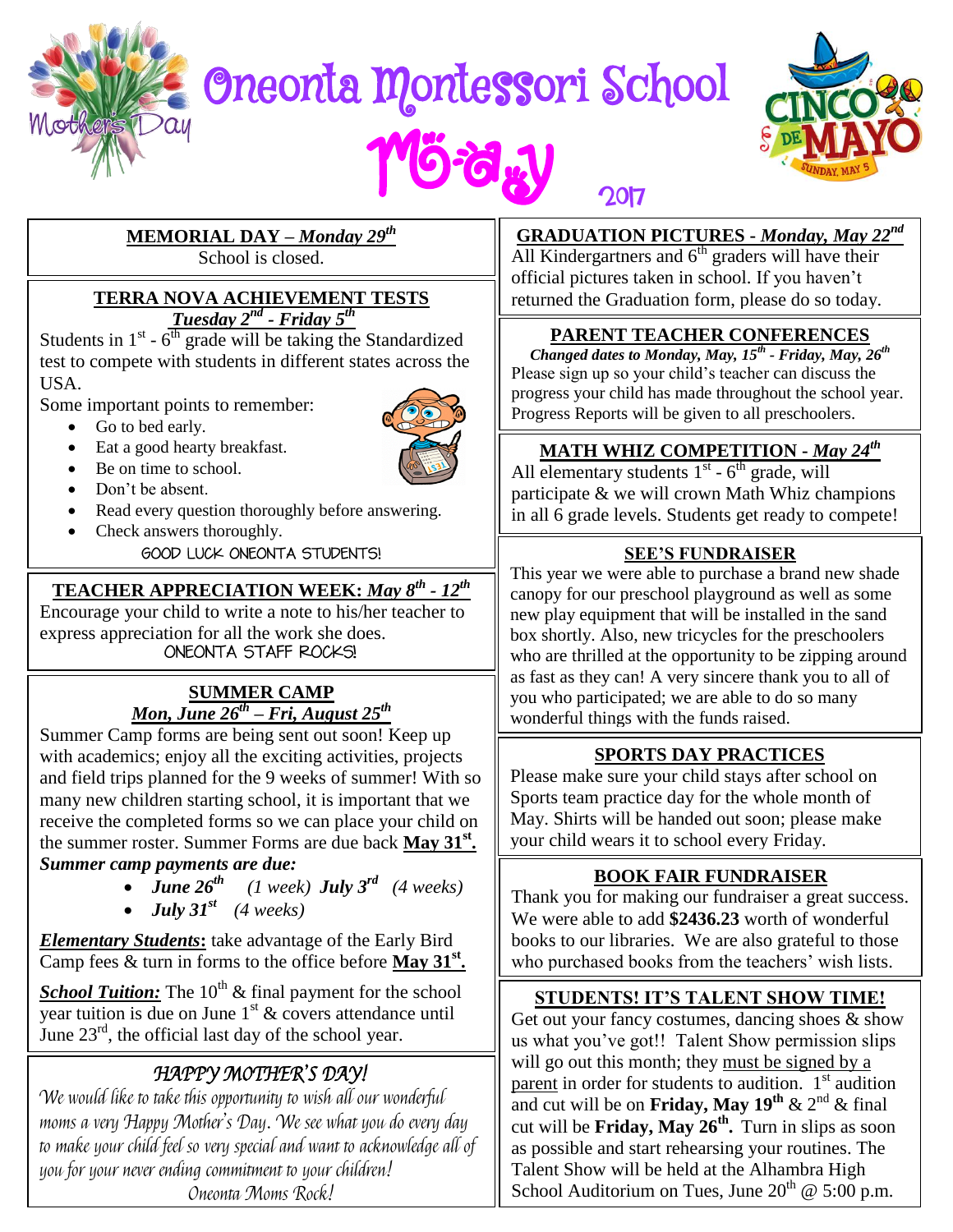# Oneonta Montessori School



# **MEMORIAL DAY –** *Monday 29th*

School is closed.

#### **TERRA NOVA ACHIEVEMENT TESTS**  *Tuesday*  $2^{nd}$  *- Friday*  $5^{th}$

Students in  $1^{st}$  -  $6^{th}$  grade will be taking the Standardized test to compete with students in different states across the USA.

Some important points to remember:

Go to bed early.



- Be on time to school.
- Don't be absent.
- Read every question thoroughly before answering.
- Check answers thoroughly.

**GOOD LUCK ONEONTA STUDENTS!** 

## **TEACHER APPRECIATION WEEK:** *May 8 th - 12th*

Encourage your child to write a note to his/her teacher to express appreciation for all the work she does.<br>
ONEONTA STAFF ROCKS!

#### **SUMMER CAMP**  *Mon, June 26 th – Fri, August 25 th*

Summer Camp forms are being sent out soon! Keep up with academics; enjoy all the exciting activities, projects and field trips planned for the 9 weeks of summer! With so many new children starting school, it is important that we receive the completed forms so we can place your child on the summer roster. Summer Forms are due back **May 31st .** 

#### *Summer camp payments are due:*

 *June 26 th (1 week) July 3 rd (4 weeks)* • *July*  $31^{st}$  (4 weeks)

*Elementary Students***:** take advantage of the Early Bird Camp fees & turn in forms to the office before **May 31st .** 

**School Tuition:** The 10<sup>th</sup> & final payment for the school vear tuition is due on June  $1<sup>st</sup>$  & covers attendance until June  $23<sup>rd</sup>$ , the official last day of the school year.

# HAPPY MOTHER'S DAY!

We would like to take this opportunity to wish all our wonderful moms a very Happy Mother's Day. We see what you do every day to make your child feel so very special and want to acknowledge all of you for your never ending commitment to your children! Oneonta Moms Rock!

**GRADUATION PICTURES -** *Monday, May 22nd*

All Kindergartners and  $6<sup>th</sup>$  graders will have their official pictures taken in school. If you haven't returned the Graduation form, please do so today.

2017

## **PARENT TEACHER CONFERENCES**

*Changed dates to Monday, May, 15 th - Friday, May, 26 th* Please sign up so your child's teacher can discuss the progress your child has made throughout the school year. Progress Reports will be given to all preschoolers.

## **MATH WHIZ COMPETITION -** *May 24th*

All elementary students  $1<sup>st</sup> - 6<sup>th</sup>$  grade, will participate & we will crown Math Whiz champions in all 6 grade levels. Students get ready to compete!

#### **SEE'S FUNDRAISER**

This year we were able to purchase a brand new shade canopy for our preschool playground as well as some new play equipment that will be installed in the sand box shortly. Also, new tricycles for the preschoolers who are thrilled at the opportunity to be zipping around as fast as they can! A very sincere thank you to all of you who participated; we are able to do so many wonderful things with the funds raised.

## **SPORTS DAY PRACTICES**

Please make sure your child stays after school on Sports team practice day for the whole month of May. Shirts will be handed out soon; please make your child wears it to school every Friday.

## **BOOK FAIR FUNDRAISER**

Thank you for making our fundraiser a great success. We were able to add **\$2436.23** worth of wonderful books to our libraries. We are also grateful to those who purchased books from the teachers' wish lists.

## **STUDENTS! IT'S TALENT SHOW TIME!**

Get out your fancy costumes, dancing shoes  $\&$  show us what you've got!! Talent Show permission slips will go out this month; they must be signed by a parent in order for students to audition.  $1<sup>st</sup>$  audition and cut will be on **Friday, May 19<sup>th</sup>** & 2<sup>nd</sup> & final cut will be **Friday, May 26 th .** Turn in slips as soon as possible and start rehearsing your routines. The Talent Show will be held at the Alhambra High School Auditorium on Tues, June  $20^{th}$  @ 5:00 p.m.